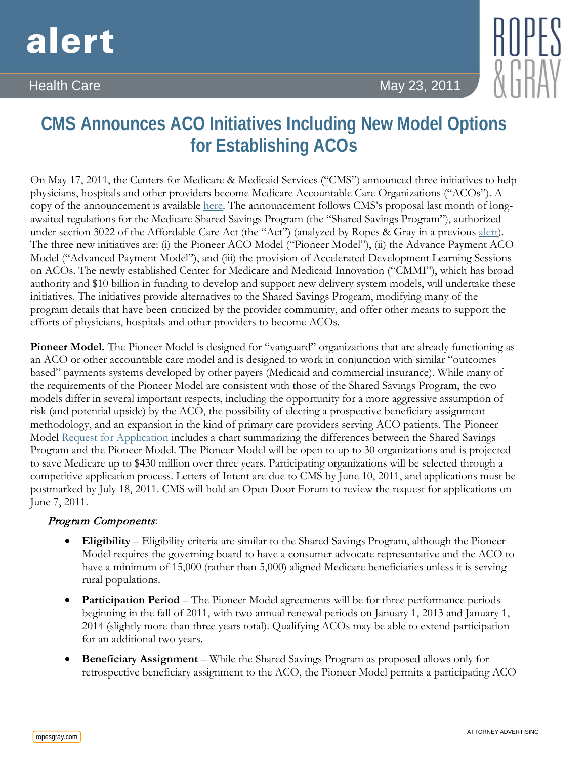# alert

Health Care May 23, 2011 **May 23, 2011** 

## **CMS Announces ACO Initiatives Including New Model Options for Establishing ACOs**

On May 17, 2011, the Centers for Medicare & Medicaid Services ("CMS") announced three initiatives to help physicians, hospitals and other providers become Medicare Accountable Care Organizations ("ACOs"). A copy of the announcement is available [here.](http://www.cms.gov/apps/media/press/release.asp?Counter=3957&intNumPerPage=10&checkDate=&checkKey=&srchType=1&numDays=3500&srchOpt=0&srchData=&keywordType=All&chkNewsType=1%2C+2%2C+3%2C+4%2C+5&intPage=&showAll=&pYear=&year=&desc=&cboOrder=date) The announcement follows CMS's proposal last month of longawaited regulations for the Medicare Shared Savings Program (the "Shared Savings Program"), authorized under section 3022 of the Affordable Care Act (the "Act") (analyzed by Ropes & Gray in a previous [alert\)](http://www.ropesgray.com/files/Publication/b6fb37bb-e715-4ece-9003-2383713fc02a/Presentation/PublicationAttachment/6d92565a-40db-4dea-bda9-8f661b131a35/20110407HCAlert.pdf). The three new initiatives are: (i) the Pioneer ACO Model ("Pioneer Model"), (ii) the Advance Payment ACO Model ("Advanced Payment Model"), and (iii) the provision of Accelerated Development Learning Sessions on ACOs. The newly established Center for Medicare and Medicaid Innovation ("CMMI"), which has broad authority and \$10 billion in funding to develop and support new delivery system models, will undertake these initiatives. The initiatives provide alternatives to the Shared Savings Program, modifying many of the program details that have been criticized by the provider community, and offer other means to support the efforts of physicians, hospitals and other providers to become ACOs.

Pioneer Model. The Pioneer Model is designed for "vanguard" organizations that are already functioning as an ACO or other accountable care model and is designed to work in conjunction with similar "outcomes based" payments systems developed by other payers (Medicaid and commercial insurance). While many of the requirements of the Pioneer Model are consistent with those of the Shared Savings Program, the two models differ in several important respects, including the opportunity for a more aggressive assumption of risk (and potential upside) by the ACO, the possibility of electing a prospective beneficiary assignment methodology, and an expansion in the kind of primary care providers serving ACO patients. The Pioneer Model [Request for Application](http://innovations.cms.gov/wp-content/uploads/2011/05/Pioneer-ACO-RFA.pdf) includes a chart summarizing the differences between the Shared Savings Program and the Pioneer Model. The Pioneer Model will be open to up to 30 organizations and is projected to save Medicare up to \$430 million over three years. Participating organizations will be selected through a competitive application process. Letters of Intent are due to CMS by June 10, 2011, and applications must be postmarked by July 18, 2011. CMS will hold an Open Door Forum to review the request for applications on June 7, 2011.

### Program Components:

- **Eligibility** Eligibility criteria are similar to the Shared Savings Program, although the Pioneer Model requires the governing board to have a consumer advocate representative and the ACO to have a minimum of 15,000 (rather than 5,000) aligned Medicare beneficiaries unless it is serving rural populations.
- **Participation Period** The Pioneer Model agreements will be for three performance periods beginning in the fall of 2011, with two annual renewal periods on January 1, 2013 and January 1, 2014 (slightly more than three years total). Qualifying ACOs may be able to extend participation for an additional two years.
- **Beneficiary Assignment**  While the Shared Savings Program as proposed allows only for retrospective beneficiary assignment to the ACO, the Pioneer Model permits a participating ACO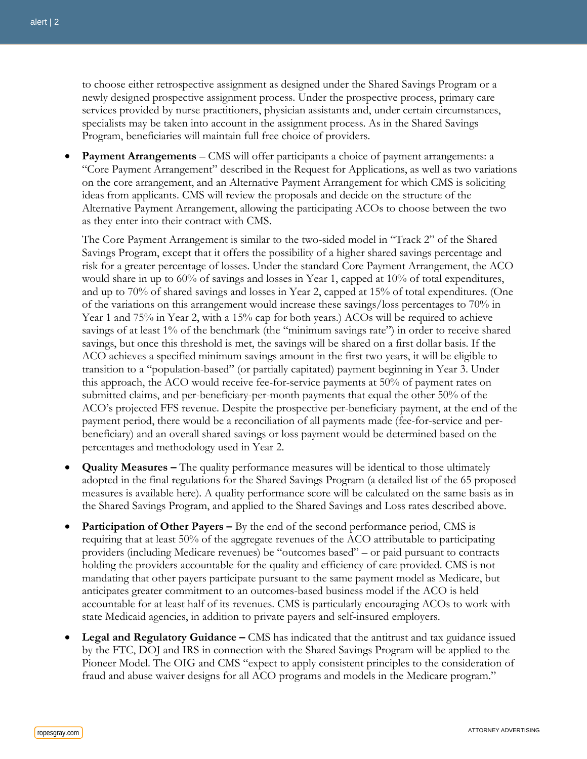to choose either retrospective assignment as designed under the Shared Savings Program or a newly designed prospective assignment process. Under the prospective process, primary care services provided by nurse practitioners, physician assistants and, under certain circumstances, specialists may be taken into account in the assignment process. As in the Shared Savings Program, beneficiaries will maintain full free choice of providers.

• **Payment Arrangements** *–* CMS will offer participants a choice of payment arrangements: a "Core Payment Arrangement" described in the Request for Applications, as well as two variations on the core arrangement, and an Alternative Payment Arrangement for which CMS is soliciting ideas from applicants. CMS will review the proposals and decide on the structure of the Alternative Payment Arrangement, allowing the participating ACOs to choose between the two as they enter into their contract with CMS.

The Core Payment Arrangement is similar to the two-sided model in "Track 2" of the Shared Savings Program, except that it offers the possibility of a higher shared savings percentage and risk for a greater percentage of losses. Under the standard Core Payment Arrangement, the ACO would share in up to 60% of savings and losses in Year 1, capped at 10% of total expenditures, and up to 70% of shared savings and losses in Year 2, capped at 15% of total expenditures. (One of the variations on this arrangement would increase these savings/loss percentages to 70% in Year 1 and 75% in Year 2, with a 15% cap for both years.) ACOs will be required to achieve savings of at least 1% of the benchmark (the "minimum savings rate") in order to receive shared savings, but once this threshold is met, the savings will be shared on a first dollar basis. If the ACO achieves a specified minimum savings amount in the first two years, it will be eligible to transition to a "population-based" (or partially capitated) payment beginning in Year 3. Under this approach, the ACO would receive fee-for-service payments at 50% of payment rates on submitted claims, and per-beneficiary-per-month payments that equal the other 50% of the ACO's projected FFS revenue. Despite the prospective per-beneficiary payment, at the end of the payment period, there would be a reconciliation of all payments made (fee-for-service and perbeneficiary) and an overall shared savings or loss payment would be determined based on the percentages and methodology used in Year 2.

- **Quality Measures** The quality performance measures will be identical to those ultimately adopted in the final regulations for the Shared Savings Program (a detailed list of the 65 proposed measures is available [here\)](http://www.cms.gov/sharedsavingsprogram/). A quality performance score will be calculated on the same basis as in the Shared Savings Program, and applied to the Shared Savings and Loss rates described above.
- **Participation of Other Payers –** By the end of the second performance period, CMS is requiring that at least 50% of the aggregate revenues of the ACO attributable to participating providers (including Medicare revenues) be "outcomes based" – or paid pursuant to contracts holding the providers accountable for the quality and efficiency of care provided. CMS is not mandating that other payers participate pursuant to the same payment model as Medicare, but anticipates greater commitment to an outcomes-based business model if the ACO is held accountable for at least half of its revenues. CMS is particularly encouraging ACOs to work with state Medicaid agencies, in addition to private payers and self-insured employers.
- **Legal and Regulatory Guidance –** CMS has indicated that the antitrust and tax guidance issued by the FTC, DOJ and IRS in connection with the Shared Savings Program will be applied to the Pioneer Model. The OIG and CMS "expect to apply consistent principles to the consideration of fraud and abuse waiver designs for all ACO programs and models in the Medicare program."